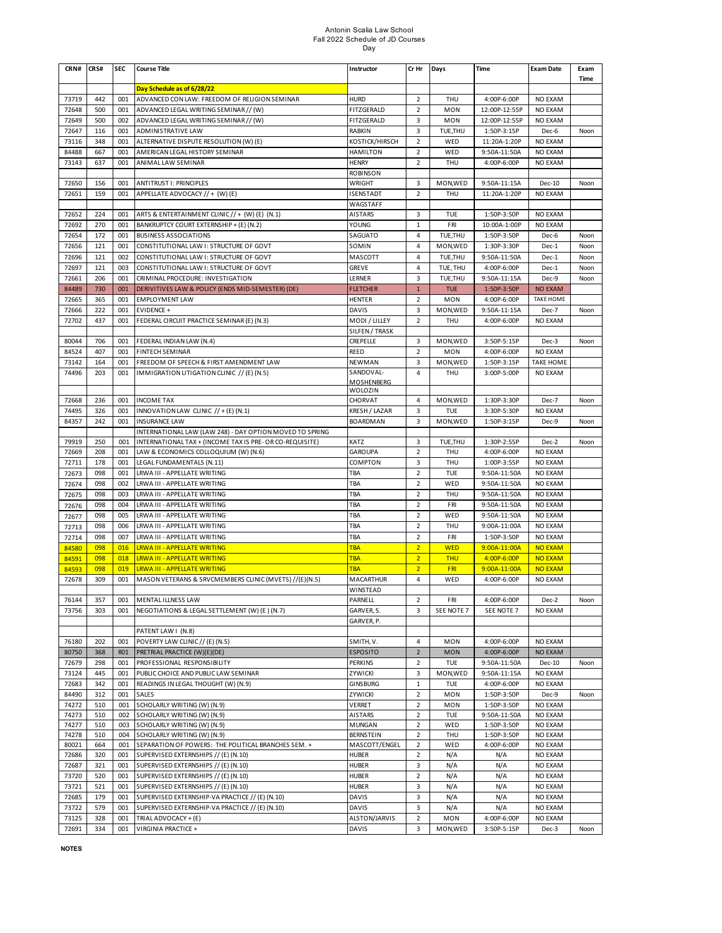# Antonin Scalia Law School Fall 2022 Schedule of JD Courses Day

| CRN#           | CRS#       | <b>SEC</b> | <b>Course Title</b>                                                                              | Instructor                      | Cr Hr                            | Days                   | Time                        | <b>Exam Date</b>   | Exam<br>Time |
|----------------|------------|------------|--------------------------------------------------------------------------------------------------|---------------------------------|----------------------------------|------------------------|-----------------------------|--------------------|--------------|
|                |            |            | Day Schedule as of 6/28/22                                                                       |                                 |                                  |                        |                             |                    |              |
| 73719          | 442        | 001        | ADVANCED CON LAW: FREEDOM OF RELIGION SEMINAR                                                    | <b>HURD</b>                     | $\overline{2}$                   | THU                    | 4:00P-6:00P                 | NO EXAM            |              |
| 72648          | 500        | 001        | ADVANCED LEGAL WRITING SEMINAR // (W)                                                            | FITZGERALD                      | $\overline{2}$                   | <b>MON</b>             | 12:00P-12:55P               | NO EXAM            |              |
| 72649          | 500        | 002        | ADVANCED LEGAL WRITING SEMINAR // (W)                                                            | FITZGERALD                      | 3                                | <b>MON</b>             | 12:00P-12:55P               | NO EXAM            |              |
| 72647          | 116        | 001        | <b>ADMINISTRATIVE LAW</b>                                                                        | RABKIN                          | 3                                | TUE, THU               | 1:50P-3:15P                 | Dec-6              | Noon         |
| 73116          | 348        | 001        | ALTERNATIVE DISPUTE RESOLUTION (W) (E)                                                           | KOSTICK/HIRSCH                  | $\overline{2}$                   | WED                    | 11:20A-1:20P                | <b>NO EXAM</b>     |              |
| 84488          | 667<br>637 | 001<br>001 | AMERICAN LEGAL HISTORY SEMINAR<br>ANIMAL LAW SEMINAR                                             | <b>HAMILTON</b>                 | $\overline{2}$<br>$\overline{2}$ | WED<br>THU             | 9:50A-11:50A<br>4:00P-6:00P | NO EXAM<br>NO EXAM |              |
| 73143          |            |            |                                                                                                  | <b>HENRY</b><br><b>ROBINSON</b> |                                  |                        |                             |                    |              |
| 72650          | 156        | 001        | <b>ANTITRUST I: PRINCIPLES</b>                                                                   | WRIGHT                          | 3                                | MON, WED               | 9:50A-11:15A                | Dec-10             | Noon         |
| 72651          | 159        | 001        | APPELLATE ADVOCACY // + (W) (E)                                                                  | <b>ISENSTADT</b>                | $\overline{2}$                   | <b>THU</b>             | 11:20A-1:20P                | NO EXAM            |              |
|                |            |            |                                                                                                  | WAGSTAFF                        |                                  |                        |                             |                    |              |
| 72652          | 224        | 001        | ARTS & ENTERTAINMENT CLINIC // + (W) (E) (N.1)                                                   | <b>AISTARS</b>                  | 3                                | TUE                    | 1:50P-3:50P                 | NO EXAM            |              |
| 72692          | 270        | 001        | BANKRUPTCY COURT EXTERNSHIP + (E) (N.2)                                                          | YOUNG                           | $1\,$                            | FRI                    | 10:00A-1:00P                | NO EXAM            |              |
| 72654          | 172        | 001        | <b>BUSINESS ASSOCIATIONS</b>                                                                     | SAGUATO                         | 4                                | TUE, THU               | 1:50P-3:50P                 | Dec-6              | Noon         |
| 72656          | 121        | 001        | CONSTITUTIONAL LAW I: STRUCTURE OF GOVT                                                          | SOMIN                           | 4                                | MON, WED               | 1:30P-3:30P                 | Dec-1              | Noon         |
| 72696          | 121        | 002        | CONSTITUTIONAL LAW I: STRUCTURE OF GOVT                                                          | MASCOTT                         | 4                                | TUE, THU               | 9:50A-11:50A                | Dec-1              | Noon         |
| 72697          | 121        | 003        | CONSTITUTIONAL LAW I: STRUCTURE OF GOVT                                                          | <b>GREVE</b>                    | 4                                | TUE, THU               | 4:00P-6:00P                 | Dec-1              | Noon         |
| 72661          | 206        | 001        | CRIMINAL PROCEDURE: INVESTIGATION                                                                | LERNER                          | 3                                | TUE, THU               | 9:50A-11:15A                | Dec-9              | Noon         |
| 84489          | 730        | 001        | DERIVITIVES LAW & POLICY (ENDS MID-SEMESTER) (DE)                                                | <b>FLETCHER</b>                 | $1\,$                            | <b>TUE</b>             | 1:50P-3:50P                 | <b>NO EXAM</b>     |              |
| 72665          | 365        | 001        | <b>EMPLOYMENT LAW</b>                                                                            | <b>HENTER</b>                   | $\overline{2}$                   | MON                    | 4:00P-6:00P                 | <b>TAKE HOME</b>   |              |
| 72666          | 222        | 001        | EVIDENCE +                                                                                       | <b>DAVIS</b>                    | 3                                | MON, WED               | 9:50A-11:15A                | Dec-7              | Noon         |
| 72702          | 437        | 001        | FEDERAL CIRCUIT PRACTICE SEMINAR (E) (N.3)                                                       | MODI / LILLEY                   | $\overline{2}$                   | THU                    | 4:00P-6:00P                 | NO EXAM            |              |
|                |            |            |                                                                                                  | SILFEN / TRASK                  |                                  |                        |                             |                    |              |
| 80044<br>84524 | 706<br>407 | 001<br>001 | FEDERAL INDIAN LAW (N.4)<br><b>FINTECH SEMINAR</b>                                               | CREPELLE<br><b>REED</b>         | 3<br>$\overline{2}$              | MON, WED<br><b>MON</b> | 3:50P-5:15P<br>4:00P-6:00P  | Dec-3<br>NO EXAM   | Noon         |
| 73142          | 164        | 001        | FREEDOM OF SPEECH & FIRST AMENDMENT LAW                                                          | NEWMAN                          | 3                                | MON, WED               | 1:50P-3:15P                 | <b>TAKE HOME</b>   |              |
| 74496          | 203        | 001        | IMMIGRATION LITIGATION CLINIC // (E) (N.5)                                                       | SANDOVAL-                       | 4                                | THU                    | 3:00P-5:00P                 | NO EXAM            |              |
|                |            |            |                                                                                                  | MOSHENBERG                      |                                  |                        |                             |                    |              |
|                |            |            |                                                                                                  | <b>WOLOZIN</b>                  |                                  |                        |                             |                    |              |
| 72668          | 236        | 001        | <b>INCOME TAX</b>                                                                                | CHORVAT                         | 4                                | MON, WED               | 1:30P-3:30P                 | Dec-7              | Noon         |
| 74495          | 326        | 001        | INNOVATION LAW CLINIC $// + (E) (N.1)$                                                           | KRESH / LAZAR                   | 3                                | TUE                    | 3:30P-5:30P                 | <b>NO EXAM</b>     |              |
| 84357          | 242        | 001        | <b>INSURANCE LAW</b>                                                                             | <b>BOARDMAN</b>                 | 3                                | MON, WED               | 1:50P-3:15P                 | Dec-9              | Noon         |
|                |            |            | INTERNATIONAL LAW (LAW 248) - DAY OPTION MOVED TO SPRING                                         |                                 |                                  |                        |                             |                    |              |
| 79919<br>72669 | 250<br>208 | 001<br>001 | INTERNATIONAL TAX + (INCOME TAX IS PRE- OR CO-REQUISITE)<br>LAW & ECONOMICS COLLOQUIUM (W) (N.6) | KATZ<br><b>GAROUPA</b>          | 3<br>$\overline{2}$              | TUE, THU<br>THU        | 1:30P-2:55P<br>4:00P-6:00P  | Dec-2<br>NO EXAM   | Noon         |
| 72711          | 178        | 001        | LEGAL FUNDAMENTALS (N.11)                                                                        | COMPTON                         | 3                                | THU                    | 1:00P-3:55P                 | NO EXAM            |              |
| 72673          | 098        | 001        | LRWA III - APPELLATE WRITING                                                                     | TBA                             | $\overline{2}$                   | TUE                    | 9:50A-11:50A                | NO EXAM            |              |
| 72674          | 098        | 002        | LRWA III - APPELLATE WRITING                                                                     | TBA                             | $\overline{2}$                   | WED                    | 9:50A-11:50A                | NO EXAM            |              |
| 72675          | 098        | 003        | LRWA III - APPELLATE WRITING                                                                     | TBA                             | $\overline{2}$                   | <b>THU</b>             | 9:50A-11:50A                | NO EXAM            |              |
| 72676          | 098        | 004        | LRWA III - APPELLATE WRITING                                                                     | TBA                             | $\overline{2}$                   | FRI                    | 9:50A-11:50A                | NO EXAM            |              |
| 72677          | 098        | 005        | LRWA III - APPELLATE WRITING                                                                     | TBA                             | $\overline{2}$                   | WED                    | 9:50A-11:50A                | NO EXAM            |              |
| 72713          | 098        | 006        | LRWA III - APPELLATE WRITING                                                                     | TBA                             | $\overline{2}$                   | THU                    | 9:00A-11:00A                | NO EXAM            |              |
| 72714          | 098        | 007        | LRWA III - APPELLATE WRITING                                                                     | TBA                             | $\overline{2}$                   | FRI                    | 1:50P-3:50P                 | NO EXAM            |              |
| 84580          | 098        | 016        | <b>LRWA III - APPELLATE WRITING</b>                                                              | <b>TBA</b>                      | $\overline{2}$                   | <b>WED</b>             | 9:00A-11:00A                | <b>NO EXAM</b>     |              |
| 84591          | 098        | 018        | <b>LRWA III - APPELLATE WRITING</b>                                                              | <b>TBA</b>                      | $\overline{2}$                   | <b>THU</b>             | 4:00P-6:00P                 | <b>NO EXAM</b>     |              |
| 84593          | 098        | 019        | <b>LRWA III - APPELLATE WRITING</b>                                                              | <b>TBA</b>                      | $\overline{2}$                   | <b>FRI</b>             | 9:00A-11:00A                | <b>NO EXAM</b>     |              |
| 72678          | 309        | 001        | MASON VETERANS & SRVCMEMBERS CLINIC (MVETS) //(E)(N.5)                                           | MACARTHUR                       | $\overline{4}$                   | WED                    | 4:00P-6:00P                 | <b>NO EXAM</b>     |              |
|                |            |            |                                                                                                  | WINSTEAD                        |                                  |                        |                             |                    |              |
| 76144          | 357        | 001        | MENTAL ILLNESS LAW                                                                               | PARNELL                         | $\overline{2}$                   | FRI                    | 4:00P-6:00P                 | Dec-2              | Noon         |
| 73756          | 303        | 001        | NEGOTIATIONS & LEGAL SETTLEMENT (W) (E) (N.7)                                                    | GARVER, S.<br>GARVER, P.        | 3                                | SEE NOTE 7             | SEE NOTE 7                  | NO EXAM            |              |
|                |            |            | PATENT LAW I (N.8)                                                                               |                                 |                                  |                        |                             |                    |              |
| 76180          | 202        | 001        | POVERTY LAW CLINIC // (E) (N.5)                                                                  | SMITH, V.                       | $\overline{4}$                   | <b>MON</b>             | 4:00P-6:00P                 | NO EXAM            |              |
| 80750          | 368        | <b>R01</b> | PRETRIAL PRACTICE (W)(E)(DE)                                                                     | <b>ESPOSITO</b>                 | $\overline{2}$                   | <b>MON</b>             | 4:00P-6:00P                 | NO EXAM            |              |
| 72679          | 298        | 001        | PROFESSIONAL RESPONSIBILITY                                                                      | PERKINS                         | $\overline{2}$                   | TUE                    | 9:50A-11:50A                | Dec-10             | Noon         |
| 73124          | 445        | 001        | PUBLIC CHOICE AND PUBLIC LAW SEMINAR                                                             | ZYWICKI                         | 3                                | MON, WED               | 9:50A-11:15A                | NO EXAM            |              |
| 72683          | 342        | 001        | READINGS IN LEGAL THOUGHT (W) (N.9)                                                              | <b>GINSBURG</b>                 | 1                                | TUE                    | 4:00P-6:00P                 | NO EXAM            |              |
| 84490          | 312        | 001        | <b>SALES</b>                                                                                     | ZYWICKI                         | $\overline{2}$                   | <b>MON</b>             | 1:50P-3:50P                 | Dec-9              | Noon         |
| 74272          | 510        | 001        | SCHOLARLY WRITING (W) (N.9)                                                                      | VERRET                          | $\overline{2}$                   | MON                    | 1:50P-3:50P                 | NO EXAM            |              |
| 74273          | 510        | 002        | SCHOLARLY WRITING (W) (N.9)                                                                      | <b>AISTARS</b>                  | $\overline{2}$                   | TUE                    | 9:50A-11:50A                | NO EXAM            |              |
| 74277          | 510        | 003        | SCHOLARLY WRITING (W) (N.9)                                                                      | <b>MUNGAN</b>                   | $\overline{\mathbf{c}}$          | WED                    | 1:50P-3:50P                 | NO EXAM            |              |
| 74278          | 510        | 004        | SCHOLARLY WRITING (W) (N.9)                                                                      | <b>BERNSTEIN</b>                | $\overline{2}$                   | THU                    | 1:50P-3:50P                 | NO EXAM            |              |
| 80021          | 664        | 001        | SEPARATION OF POWERS: THE POLITICAL BRANCHES SEM. +                                              | MASCOTT/ENGEL                   | $\overline{2}$                   | WED                    | 4:00P-6:00P                 | NO EXAM            |              |
| 72686<br>72687 | 320<br>321 | 001<br>001 | SUPERVISED EXTERNSHIPS // (E) (N.10)<br>SUPERVISED EXTERNSHIPS // (E) (N.10)                     | <b>HUBER</b><br><b>HUBER</b>    | $\overline{2}$<br>3              | N/A<br>N/A             | N/A<br>N/A                  | NO EXAM<br>NO EXAM |              |
| 73720          | 520        | 001        | SUPERVISED EXTERNSHIPS // (E) (N.10)                                                             | <b>HUBER</b>                    | $\overline{2}$                   | N/A                    | N/A                         | NO EXAM            |              |
| 73721          | 521        | 001        | SUPERVISED EXTERNSHIPS // (E) (N.10)                                                             | <b>HUBER</b>                    | 3                                | N/A                    | N/A                         | NO EXAM            |              |
| 72685          | 179        | 001        | SUPERVISED EXTERNSHIP-VA PRACTICE // (E) (N.10)                                                  | DAVIS                           | 3                                | N/A                    | N/A                         | NO EXAM            |              |
| 73722          | 579        | 001        | SUPERVISED EXTERNSHIP-VA PRACTICE // (E) (N.10)                                                  | DAVIS                           | 3                                | N/A                    | N/A                         | NO EXAM            |              |
| 73125          | 328        | 001        | TRIAL ADVOCACY + (E)                                                                             | ALSTON/JARVIS                   | $\overline{2}$                   | MON                    | 4:00P-6:00P                 | NO EXAM            |              |
| 72691          | 334        | 001        | VIRGINIA PRACTICE +                                                                              | DAVIS                           | 3                                | MON, WED               | 3:50P-5:15P                 | Dec-3              | Noon         |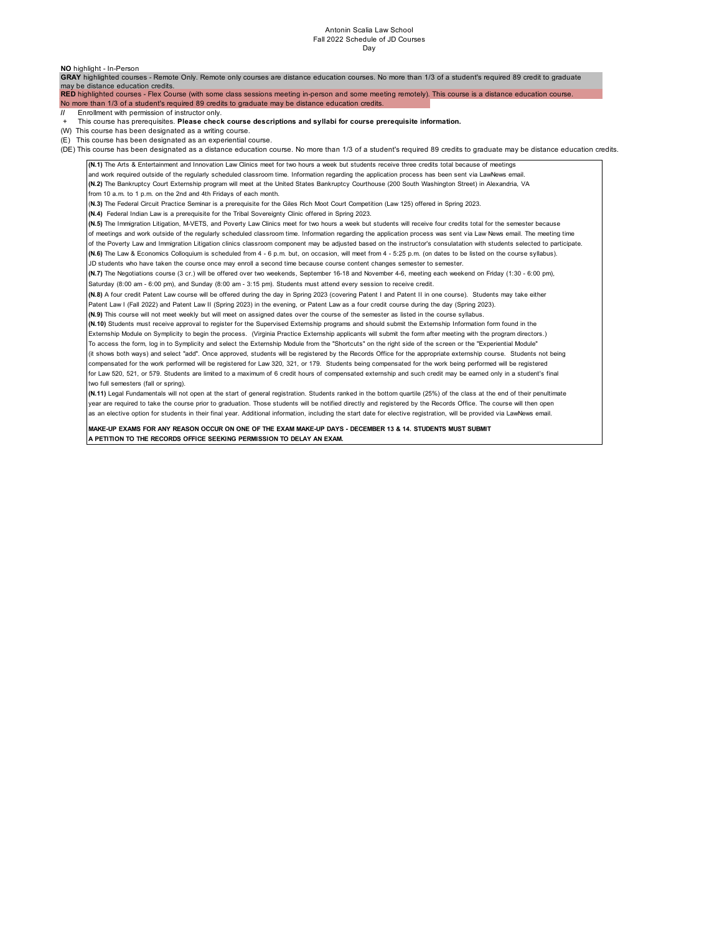# Antonin Scalia Law School Fall 2022 Schedule of JD Courses Day

| NO highlight - In-Person                                                                                                                                                                        |  |
|-------------------------------------------------------------------------------------------------------------------------------------------------------------------------------------------------|--|
| GRAY highlighted courses - Remote Only. Remote only courses are distance education courses. No more than 1/3 of a student's required 89 credit to graduate                                      |  |
| may be distance education credits.<br>RED highlighted courses - Flex Course (with some class sessions meeting in-person and some meeting remotely). This course is a distance education course. |  |
| No more than 1/3 of a student's required 89 credits to graduate may be distance education credits.                                                                                              |  |
| Enrollment with permission of instructor only.                                                                                                                                                  |  |
| This course has prerequisites. Please check course descriptions and syllabi for course prerequisite information.                                                                                |  |
| (W) This course has been designated as a writing course.                                                                                                                                        |  |
| (E) This course has been designated as an experiential course.                                                                                                                                  |  |
| (DE) This course has been designated as a distance education course. No more than 1/3 of a student's required 89 credits to graduate may be distance education credits.                         |  |
| (N.1) The Arts & Entertainment and Innovation Law Clinics meet for two hours a week but students receive three credits total because of meetings                                                |  |
| and work required outside of the regularly scheduled classroom time. Information regarding the application process has been sent via LawNews email.                                             |  |
| (N.2) The Bankruptcy Court Externship program will meet at the United States Bankruptcy Courthouse (200 South Washington Street) in Alexandria, VA                                              |  |
| from 10 a.m. to 1 p.m. on the 2nd and 4th Fridays of each month.                                                                                                                                |  |
| (N.3) The Federal Circuit Practice Seminar is a prerequisite for the Giles Rich Moot Court Competition (Law 125) offered in Spring 2023.                                                        |  |
| (N.4) Federal Indian Law is a prerequisite for the Tribal Sovereignty Clinic offered in Spring 2023.                                                                                            |  |
| (N.5) The Immigration Litigation, M-VETS, and Poverty Law Clinics meet for two hours a week but students will receive four credits total for the semester because                               |  |
| of meetings and work outside of the regularly scheduled classroom time. Information regarding the application process was sent via Law News email. The meeting time                             |  |
| of the Poverty Law and Immigration Litigation clinics classroom component may be adjusted based on the instructor's consulatation with students selected to participate.                        |  |
| (N.6) The Law & Economics Colloquium is scheduled from 4 - 6 p.m. but, on occasion, will meet from 4 - 5:25 p.m. (on dates to be listed on the course syllabus).                                |  |
| JD students who have taken the course once may enroll a second time because course content changes semester to semester.                                                                        |  |
| (N.7) The Negotiations course (3 cr.) will be offered over two weekends, September 16-18 and November 4-6, meeting each weekend on Friday (1:30 - 6:00 pm),                                     |  |
| Saturday (8:00 am - 6:00 pm), and Sunday (8:00 am - 3:15 pm). Students must attend every session to receive credit.                                                                             |  |
| (N.8) A four credit Patent Law course will be offered during the day in Spring 2023 (covering Patent I and Patent II in one course). Students may take either                                   |  |
| Patent Law I (Fall 2022) and Patent Law II (Spring 2023) in the evening, or Patent Law as a four credit course during the day (Spring 2023).                                                    |  |
| (N.9) This course will not meet weekly but will meet on assigned dates over the course of the semester as listed in the course syllabus.                                                        |  |
| (N.10) Students must receive approval to register for the Supervised Externship programs and should submit the Externship Information form found in the                                         |  |
| Externship Module on Symplicity to begin the process. (Virginia Practice Externship applicants will submit the form after meeting with the program directors.)                                  |  |
| To access the form, log in to Symplicity and select the Externship Module from the "Shortcuts" on the right side of the screen or the "Experiential Module"                                     |  |
| (it shows both ways) and select "add". Once approved, students will be registered by the Records Office for the appropriate externship course. Students not being                               |  |
| compensated for the work performed will be registered for Law 320, 321, or 179. Students being compensated for the work being performed will be registered                                      |  |
| for Law 520, 521, or 579. Students are limited to a maximum of 6 credit hours of compensated externship and such credit may be earned only in a student's final                                 |  |
| two full semesters (fall or spring).                                                                                                                                                            |  |
| (N.11) Legal Fundamentals will not open at the start of general registration. Students ranked in the bottom quartile (25%) of the class at the end of their penultimate                         |  |
| year are required to take the course prior to graduation. Those students will be notified directly and registered by the Records Office. The course will then open                              |  |
| as an elective option for students in their final year. Additional information, including the start date for elective registration, will be provided via LawNews email.                         |  |
| MAKE-UP EXAMS FOR ANY REASON OCCUR ON ONE OF THE EXAM MAKE-UP DAYS - DECEMBER 13 & 14. STUDENTS MUST SUBMIT                                                                                     |  |
| A PETITION TO THE RECORDS OFFICE SEEKING PERMISSION TO DELAY AN EXAM.                                                                                                                           |  |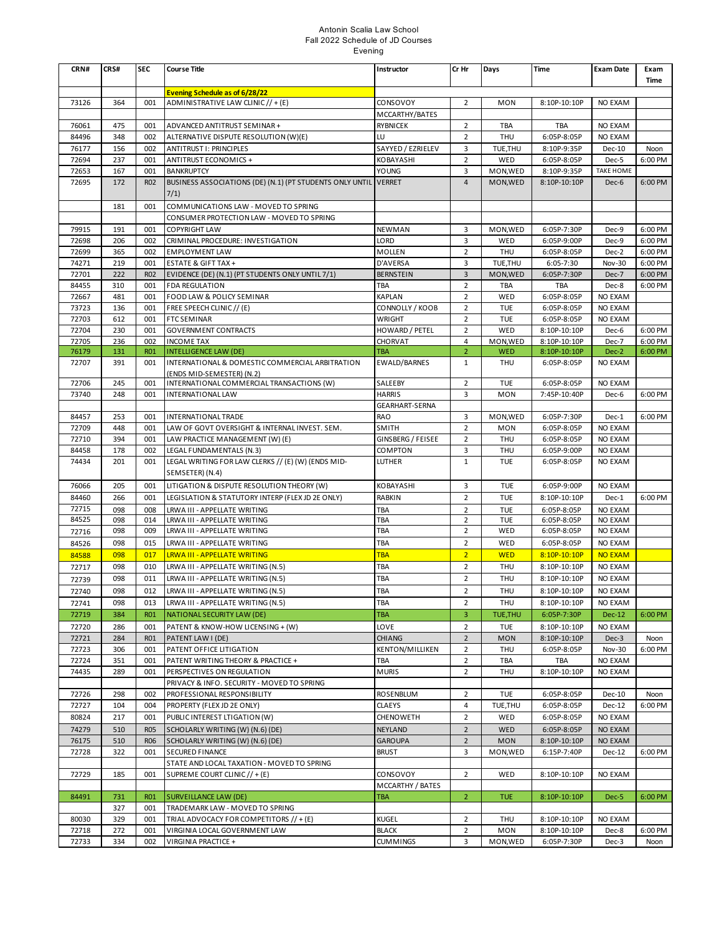### Antonin Scalia Law School Fall 2022 Schedule of JD Courses Evening

| CRN#           | CRS#       | <b>SEC</b>        | <b>Course Title</b>                                                              | Instructor                   | Cr Hr                   | Days                  | <b>Time</b>                  | <b>Exam Date</b>         | Exam               |
|----------------|------------|-------------------|----------------------------------------------------------------------------------|------------------------------|-------------------------|-----------------------|------------------------------|--------------------------|--------------------|
|                |            |                   |                                                                                  |                              |                         |                       |                              |                          | Time               |
| 73126          | 364        | 001               | <b>Evening Schedule as of 6/28/22</b><br>ADMINISTRATIVE LAW CLINIC // + (E)      | CONSOVOY                     | $\overline{2}$          | <b>MON</b>            | 8:10P-10:10P                 | NO EXAM                  |                    |
|                |            |                   |                                                                                  | MCCARTHY/BATES               |                         |                       |                              |                          |                    |
| 76061          | 475        | 001               | ADVANCED ANTITRUST SEMINAR +                                                     | <b>RYBNICEK</b>              | $\overline{2}$          | TBA                   | TBA                          | NO EXAM                  |                    |
| 84496          | 348        | 002               | ALTERNATIVE DISPUTE RESOLUTION (W)(E)                                            | LU                           | $\overline{2}$          | THU                   | 6:05P-8:05P                  | NO EXAM                  |                    |
| 76177          | 156        | 002               | <b>ANTITRUST I: PRINCIPLES</b>                                                   | SAYYED / EZRIELEV            | 3                       | TUE, THU              | 8:10P-9:35P                  | Dec-10                   | Noon               |
| 72694          | 237        | 001               | ANTITRUST ECONOMICS +                                                            | KOBAYASHI                    | $\overline{2}$          | WED                   | 6:05P-8:05P                  | Dec-5                    | 6:00 PM            |
| 72653          | 167        | 001               | <b>BANKRUPTCY</b>                                                                | YOUNG                        | 3                       | MON, WED              | 8:10P-9:35P                  | <b>TAKE HOME</b>         |                    |
| 72695          | 172        | <b>RO2</b>        | BUSINESS ASSOCIATIONS (DE) (N.1) (PT STUDENTS ONLY UNTIL VERRET<br>7/1)          |                              | $\overline{4}$          | MON, WED              | 8:10P-10:10P                 | Dec-6                    | 6:00 PM            |
|                | 181        | 001               | COMMUNICATIONS LAW - MOVED TO SPRING                                             |                              |                         |                       |                              |                          |                    |
|                |            |                   | CONSUMER PROTECTION LAW - MOVED TO SPRING                                        |                              |                         |                       |                              |                          |                    |
| 79915          | 191        | 001               | <b>COPYRIGHT LAW</b>                                                             | NEWMAN                       | 3                       | MON, WED              | 6:05P-7:30P                  | Dec-9                    | 6:00 PM            |
| 72698          | 206        | 002               | CRIMINAL PROCEDURE: INVESTIGATION                                                | LORD                         | 3                       | WED                   | 6:05P-9:00P                  | Dec-9                    | 6:00 PM            |
| 72699          | 365        | 002               | <b>EMPLOYMENT LAW</b>                                                            | <b>MOLLEN</b>                | $\overline{2}$          | THU                   | 6:05P-8:05P                  | Dec-2                    | 6:00 PM            |
| 74271<br>72701 | 219<br>222 | 001<br><b>RO2</b> | <b>ESTATE &amp; GIFT TAX +</b>                                                   | D'AVERSA<br><b>BERNSTEIN</b> | 3<br>$\overline{3}$     | TUE, THU<br>MON, WED  | $6:05 - 7:30$<br>6:05P-7:30P | <b>Nov-30</b><br>Dec-7   | 6:00 PM<br>6:00 PM |
| 84455          | 310        | 001               | EVIDENCE (DE) (N.1) (PT STUDENTS ONLY UNTIL 7/1)<br><b>FDA REGULATION</b>        | TBA                          | $\overline{2}$          | <b>TBA</b>            | <b>TBA</b>                   | Dec-8                    | 6:00 PM            |
| 72667          | 481        | 001               | FOOD LAW & POLICY SEMINAR                                                        | <b>KAPLAN</b>                | $\overline{2}$          | WED                   | 6:05P-8:05P                  | NO EXAM                  |                    |
| 73723          | 136        | 001               | FREE SPEECH CLINIC // (E)                                                        | CONNOLLY / KOOB              | $\overline{\mathbf{c}}$ | <b>TUE</b>            | 6:05P-8:05P                  | NO EXAM                  |                    |
| 72703          | 612        | 001               | <b>FTC SEMINAR</b>                                                               | <b>WRIGHT</b>                | $\overline{2}$          | <b>TUE</b>            | 6:05P-8:05P                  | NO EXAM                  |                    |
| 72704          | 230        | 001               | <b>GOVERNMENT CONTRACTS</b>                                                      | HOWARD / PETEL               | $\overline{2}$          | WED                   | 8:10P-10:10P                 | Dec-6                    | 6:00 PM            |
| 72705          | 236        | 002               | <b>INCOME TAX</b>                                                                | CHORVAT                      | 4                       | MON, WED              | 8:10P-10:10P                 | Dec-7                    | 6:00 PM            |
| 76179          | 131        | <b>RO1</b>        | <b>INTELLIGENCE LAW (DE)</b>                                                     | TBA                          | $\overline{2}$          | <b>WED</b>            | 8:10P-10:10P                 | Dec-2                    | 6:00 PM            |
| 72707          | 391        | 001               | INTERNATIONAL & DOMESTIC COMMERCIAL ARBITRATION<br>(ENDS MID-SEMESTER) (N.2)     | EWALD/BARNES                 | $\mathbf{1}$            | <b>THU</b>            | 6:05P-8:05P                  | <b>NO EXAM</b>           |                    |
| 72706          | 245        | 001               | INTERNATIONAL COMMERCIAL TRANSACTIONS (W)                                        | SALEEBY                      | $\overline{2}$          | <b>TUE</b>            | 6:05P-8:05P                  | NO EXAM                  |                    |
| 73740          | 248        | 001               | <b>INTERNATIONAL LAW</b>                                                         | <b>HARRIS</b>                | 3                       | <b>MON</b>            | 7:45P-10:40P                 | Dec-6                    | 6:00 PM            |
|                |            |                   |                                                                                  | GEARHART-SERNA               |                         |                       |                              |                          |                    |
| 84457          | 253        | 001               | INTERNATIONAL TRADE                                                              | <b>RAO</b>                   | 3<br>$\overline{2}$     | MON, WED              | 6:05P-7:30P                  | Dec-1                    | 6:00 PM            |
| 72709<br>72710 | 448<br>394 | 001<br>001        | LAW OF GOVT OVERSIGHT & INTERNAL INVEST. SEM.<br>LAW PRACTICE MANAGEMENT (W) (E) | SMITH<br>GINSBERG / FEISEE   | $\overline{2}$          | <b>MON</b><br>THU     | 6:05P-8:05P<br>6:05P-8:05P   | NO EXAM<br>NO EXAM       |                    |
| 84458          | 178        | 002               | LEGAL FUNDAMENTALS (N.3)                                                         | COMPTON                      | 3                       | <b>THU</b>            | 6:05P-9:00P                  | NO EXAM                  |                    |
| 74434          | 201        | 001               | LEGAL WRITING FOR LAW CLERKS // (E) (W) (ENDS MID-                               | LUTHER                       | $\mathbf{1}$            | <b>TUE</b>            | 6:05P-8:05P                  | NO EXAM                  |                    |
|                |            |                   | SEMSETER) (N.4)                                                                  |                              |                         |                       |                              |                          |                    |
| 76066          | 205        | 001               | LITIGATION & DISPUTE RESOLUTION THEORY (W)                                       | KOBAYASHI                    | 3                       | <b>TUE</b>            | 6:05P-9:00P                  | NO EXAM                  |                    |
| 84460          | 266        | 001               | LEGISLATION & STATUTORY INTERP (FLEX JD 2E ONLY)                                 | <b>RABKIN</b>                | $\overline{2}$          | <b>TUE</b>            | 8:10P-10:10P                 | Dec-1                    | 6:00 PM            |
| 72715          | 098        | 008               | LRWA III - APPELLATE WRITING                                                     | TBA                          | 2                       | TUE                   | 6:05P-8:05P                  | NO EXAM                  |                    |
| 84525          | 098        | 014               | LRWA III - APPELLATE WRITING                                                     | TBA                          | 2                       | <b>TUE</b>            | 6:05P-8:05P                  | NO EXAM                  |                    |
| 72716          | 098        | 009               | LRWA III - APPELLATE WRITING                                                     | TBA                          | 2                       | WED                   | 6:05P-8:05P                  | NO EXAM                  |                    |
| 84526          | 098        | 015               | LRWA III - APPELLATE WRITING                                                     | TBA                          | $\overline{2}$          | WED                   | 6:05P-8:05P                  | NO EXAM                  |                    |
| 84588          | 098        | 017               | <b>LRWA III - APPELLATE WRITING</b>                                              | <b>TBA</b>                   | $\overline{2}$          | <b>WED</b>            | 8:10P-10:10P                 | <b>NO EXAM</b>           |                    |
| 72717          | 098        | 010               | LRWA III - APPELLATE WRITING (N.5)                                               | TBA                          | $\overline{2}$          | <b>THU</b>            | 8:10P-10:10P                 | NO EXAM                  |                    |
| 72739          | 098        | 011               | LRWA III - APPELLATE WRITING (N.5)                                               | TBA                          | $\overline{\mathbf{c}}$ | <b>THU</b>            | 8:10P-10:10P                 | NO EXAM                  |                    |
| 72740          | 098        | 012               | LRWA III - APPELLATE WRITING (N.5)                                               | TBA                          | $\overline{\mathbf{c}}$ | THU                   | 8:10P-10:10P                 | NO EXAM                  |                    |
| 72741          | 098        | 013               | LRWA III - APPELLATE WRITING (N.5)<br>NATIONAL SECURITY LAW (DE)                 | TBA                          | $\overline{2}$<br>3     | THU<br><b>TUE,THU</b> | 8:10P-10:10P                 | NO EXAM                  | 6:00 PM            |
| 72719<br>72720 | 384<br>286 | R01<br>001        | PATENT & KNOW-HOW LICENSING + (W)                                                | TBA<br>LOVE                  | $\overline{2}$          | <b>TUE</b>            | 6:05P-7:30P<br>8:10P-10:10P  | <b>Dec-12</b><br>NO EXAM |                    |
| 72721          | 284        | <b>RO1</b>        | PATENT LAW I (DE)                                                                | <b>CHIANG</b>                | $\overline{2}$          | <b>MON</b>            | 8:10P-10:10P                 | Dec-3                    | Noon               |
| 72723          | 306        | 001               | PATENT OFFICE LITIGATION                                                         | KENTON/MILLIKEN              | $\overline{2}$          | THU                   | 6:05P-8:05P                  | <b>Nov-30</b>            | 6:00 PM            |
| 72724          | 351        | 001               | PATENT WRITING THEORY & PRACTICE +                                               | TBA                          | $\overline{2}$          | TBA                   | TBA                          | NO EXAM                  |                    |
| 74435          | 289        | 001               | PERSPECTIVES ON REGULATION                                                       | <b>MURIS</b>                 | $\overline{2}$          | THU                   | 8:10P-10:10P                 | NO EXAM                  |                    |
|                |            |                   | PRIVACY & INFO. SECURITY - MOVED TO SPRING                                       |                              |                         |                       |                              |                          |                    |
| 72726          | 298        | 002               | PROFESSIONAL RESPONSIBILITY                                                      | ROSENBLUM                    | $\overline{2}$          | TUE                   | 6:05P-8:05P                  | Dec-10                   | Noon               |
| 72727          | 104        | 004               | PROPERTY (FLEX JD 2E ONLY)                                                       | <b>CLAEYS</b>                | $\overline{4}$          | TUE, THU              | 6:05P-8:05P                  | Dec-12                   | 6:00 PM            |
| 80824          | 217        | 001               | PUBLIC INTEREST LTIGATION (W)                                                    | CHENOWETH                    | $\overline{2}$          | WED                   | 6:05P-8:05P                  | NO EXAM                  |                    |
| 74279          | 510        | <b>R05</b>        | SCHOLARLY WRITING (W) (N.6) (DE)                                                 | NEYLAND                      | $\overline{2}$          | WED                   | 6:05P-8:05P                  | NO EXAM                  |                    |
| 76175          | 510        | <b>RO6</b>        | SCHOLARLY WRITING (W) (N.6) (DE)                                                 | <b>GAROUPA</b>               | $\overline{2}$          | <b>MON</b>            | 8:10P-10:10P                 | NO EXAM                  |                    |
| 72728          | 322        | 001               | SECURED FINANCE                                                                  | <b>BRUST</b>                 | 3                       | MON, WED              | 6:15P-7:40P                  | Dec-12                   | 6:00 PM            |
| 72729          | 185        | 001               | STATE AND LOCAL TAXATION - MOVED TO SPRING<br>SUPREME COURT CLINIC // + (E)      | CONSOVOY                     | $\overline{2}$          | WED                   | 8:10P-10:10P                 | <b>NO EXAM</b>           |                    |
|                |            |                   |                                                                                  | MCCARTHY / BATES             |                         |                       |                              |                          |                    |
| 84491          | 731        | <b>RO1</b>        | <b>SURVEILLANCE LAW (DE)</b>                                                     | TBA                          | 2                       | <b>TUE</b>            | 8:10P-10:10P                 | Dec-5                    | 6:00 PM            |
|                | 327        | 001               | TRADEMARK LAW - MOVED TO SPRING                                                  |                              |                         |                       |                              |                          |                    |
| 80030          | 329        | 001               | TRIAL ADVOCACY FOR COMPETITORS // + (E)                                          | KUGEL                        | 2                       | THU                   | 8:10P-10:10P                 | NO EXAM                  |                    |
| 72718          | 272        | 001               | VIRGINIA LOCAL GOVERNMENT LAW                                                    | <b>BLACK</b>                 | $\overline{2}$          | <b>MON</b>            | 8:10P-10:10P                 | Dec-8                    | 6:00 PM            |
| 72733          | 334        | 002               | VIRGINIA PRACTICE +                                                              | <b>CUMMINGS</b>              | 3                       | MON, WED              | 6:05P-7:30P                  | Dec-3                    | Noon               |